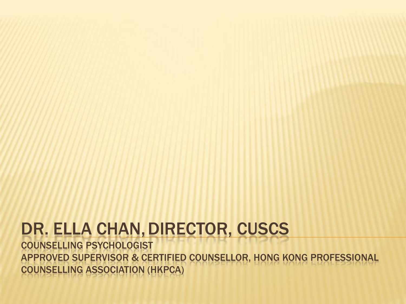#### DR. ELLA CHAN, DIRECTOR, CUSCS

COUNSELLING PSYCHOLOGIST APPROVED SUPERVISOR & CERTIFIED COUNSELLOR, HONG KONG PROFESSIONAL COUNSELLING ASSOCIATION (HKPCA)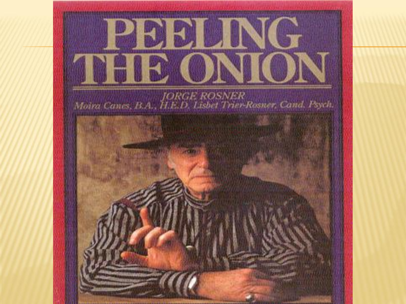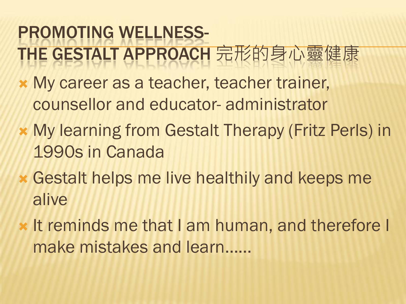### PROMOTING WELLNESS-THE GESTALT APPROACH 完形的身心靈健康

- My career as a teacher, teacher trainer, counsellor and educator- administrator
- My learning from Gestalt Therapy (Fritz Perls) in 1990s in Canada
- Gestalt helps me live healthily and keeps me alive
- **x** It reminds me that I am human, and therefore I make mistakes and learn……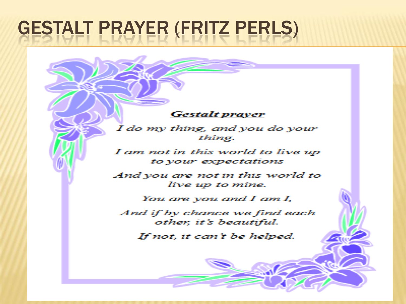## **GESTALT PRAYER (FRITZ PERLS)**

#### **Gestalt prayer**

I do my thing, and you do your thing.

I am not in this world to live up to vour expectations

And you are not in this world to live up to mine.

You are vou and  $I$  am  $I$ ,

And if by chance we find each other, it's beautiful.

If not, it can't be helped.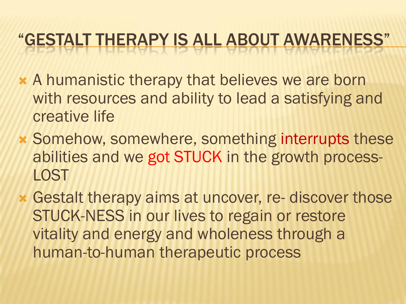#### "GESTALT THERAPY IS ALL ABOUT AWARENESS"

- A humanistic therapy that believes we are born with resources and ability to lead a satisfying and creative life
- Somehow, somewhere, something interrupts these abilities and we got STUCK in the growth process-**LOST**
- Gestalt therapy aims at uncover, re- discover those STUCK-NESS in our lives to regain or restore vitality and energy and wholeness through a human-to-human therapeutic process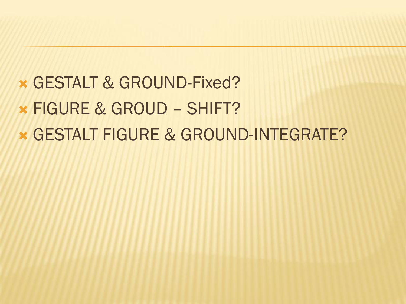#### GESTALT & GROUND-Fixed?

- FIGURE & GROUD SHIFT?
- GESTALT FIGURE & GROUND-INTEGRATE?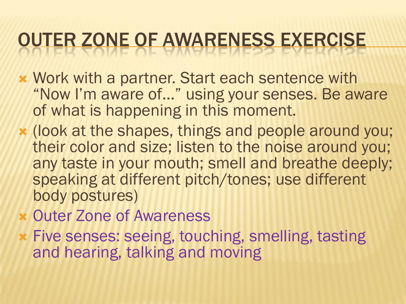### OUTER ZONE OF AWARENESS EXERCISE

- Work with a partner. Start each sentence with "Now I'm aware of…" using your senses. Be aware of what is happening in this moment.
- (look at the shapes, things and people around you; their color and size; listen to the noise around you; any taste in your mouth; smell and breathe deeply; speaking at different pitch/tones; use different body postures)
- Outer Zone of Awareness
- Five senses: seeing, touching, smelling, tasting and hearing, talking and moving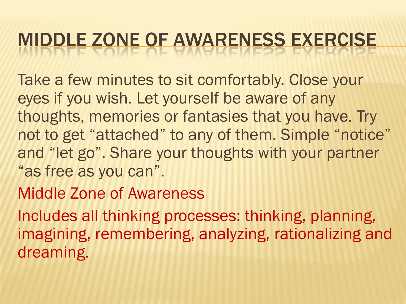# MIDDLE ZONE OF AWARENESS EXERCISE

Take a few minutes to sit comfortably. Close your eyes if you wish. Let yourself be aware of any thoughts, memories or fantasies that you have. Try not to get "attached" to any of them. Simple "notice" and "let go". Share your thoughts with your partner "as free as you can".

#### Middle Zone of Awareness

Includes all thinking processes: thinking, planning, imagining, remembering, analyzing, rationalizing and dreaming.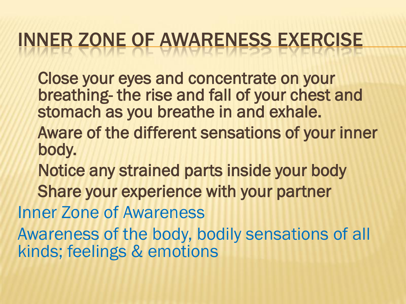### INNER ZONE OF AWARENESS EXERCISE

Close your eyes and concentrate on your breathing- the rise and fall of your chest and stomach as you breathe in and exhale.

- Aware of the different sensations of your inner body.
- Notice any strained parts inside your body
- Share your experience with your partner

Inner Zone of Awareness

Awareness of the body, bodily sensations of all kinds; feelings & emotions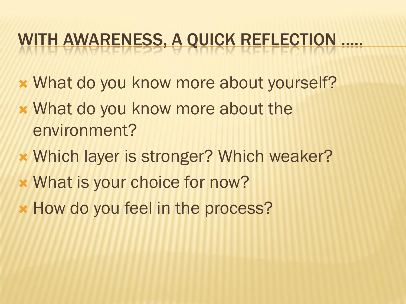#### WITH AWARENESS, A QUICK REFLECTION …..

- What do you know more about yourself?
- What do you know more about the environment?
- Which layer is stronger? Which weaker?
- What is your choice for now?
- How do you feel in the process?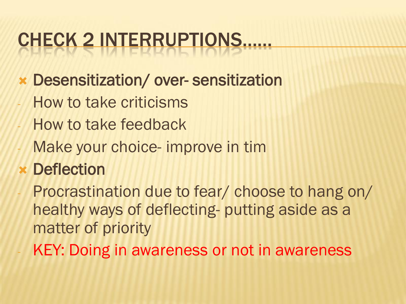## CHECK 2 INTERRUPTIONS……

- Desensitization/ over- sensitization
- How to take criticisms
- How to take feedback
- Make your choice- improve in tim
- Deflection
- Procrastination due to fear/ choose to hang on/ healthy ways of deflecting- putting aside as a matter of priority
- KEY: Doing in awareness or not in awareness